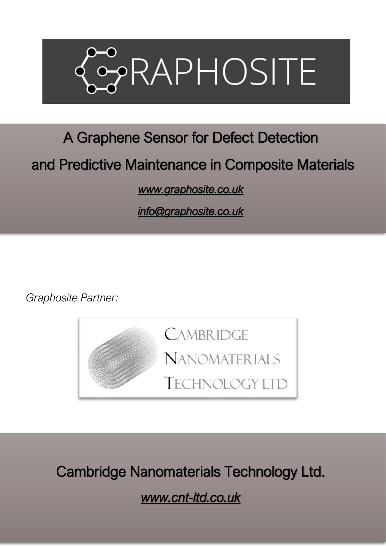

# A Graphene Sensor for Defect Detection

### and Predictive Maintenance in Composite Materials

*[www.graphosite.co.uk](http://www.graphosite.co.uk/)* 

*[info@graphosite.co.uk](mailto:info@graphosite.co.uk)* 

*Graphosite Partner:*



Cambridge Nanomaterials Technology Ltd.

*www.cnt-ltd.co.uk*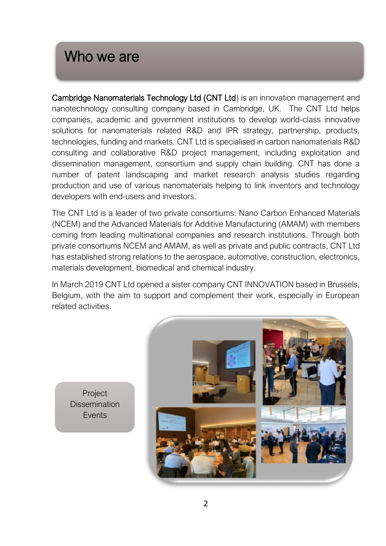#### Who we are

Cambridge Nanomaterials Technology Ltd (CNT Ltd) is an innovation management and nanotechnology consulting company based in Cambridge, UK. The CNT Ltd helps companies, academic and government institutions to develop world-class innovative solutions for nanomaterials related R&D and IPR strategy, partnership, products, technologies, funding and markets. CNT Ltd is specialised in carbon nanomaterials R&D consulting and collaborative R&D project management, including exploitation and dissemination management, consortium and supply chain building. CNT has done a number of patent landscaping and market research analysis studies regarding production and use of various nanomaterials helping to link inventors and technology developers with end-users and investors.

The CNT Ltd is a leader of two private consortiums: Nano Carbon Enhanced Materials (NCEM) and the Advanced Materials for Additive Manufacturing (AMAM) with members coming from leading multinational companies and research institutions. Through both private consortiums NCEM and AMAM, as well as private and public contracts, CNT Ltd has established strong relations to the aerospace, automotive, construction, electronics, materials development, biomedical and chemical industry.

In March 2019 CNT Ltd opened a sister company CNT INNOVATION based in Brussels, Belgium, with the aim to support and complement their work, especially in European related activities.

Project **Dissemination** Events

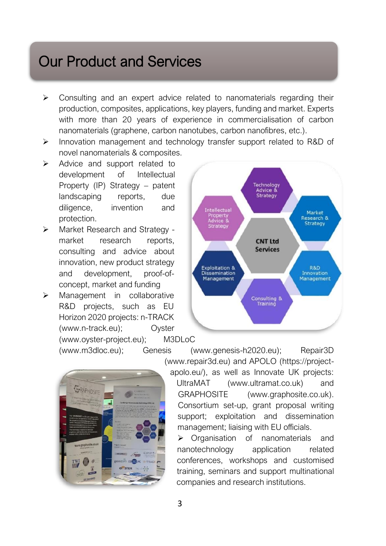# Our Product and Services

- $\triangleright$  Consulting and an expert advice related to nanomaterials regarding their production, composites, applications, key players, funding and market. Experts with more than 20 years of experience in commercialisation of carbon nanomaterials (graphene, carbon nanotubes, carbon nanofibres, etc.).
- ➢ Innovation management and technology transfer support related to R&D of novel nanomaterials & composites.
- ➢ Advice and support related to development of Intellectual Property (IP) Strategy – patent landscaping reports, due diligence, invention and protection.
- ➢ Market Research and Strategy market research reports. consulting and advice about innovation, new product strategy and development, proof-ofconcept, market and funding
- ➢ Management in collaborative R&D projects, such as EU Horizon 2020 projects: n-TRACK (www.n-track.eu); Oyster (www.oyster-project.eu); M3DLoC



(www.m3dloc.eu); Genesis (www.genesis-h2020.eu); Repair3D



(www.repair3d.eu) and APOLO (https://project-

apolo.eu/), as well as Innovate UK projects:

UltraMAT (www.ultramat.co.uk) and GRAPHOSITE (www.graphosite.co.uk). Consortium set-up, grant proposal writing support; exploitation and dissemination management; liaising with EU officials.

➢ Organisation of nanomaterials and nanotechnology application related conferences, workshops and customised training, seminars and support multinational companies and research institutions.